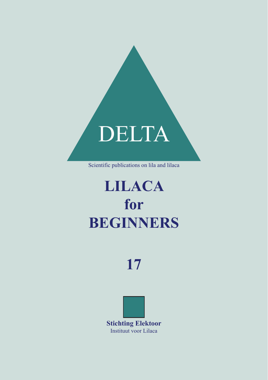

## **LILACA for BEGINNERS**

## **17**

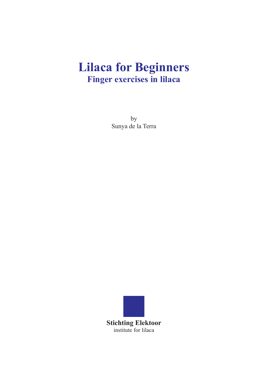### **Lilaca for Beginners Finger exercises in lilaca**

by Sunya de la Terra

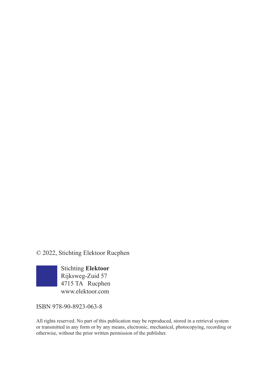© 2022, Stichting Elektoor Rucphen



ISBN 978-90-8923-063-8

All rights reserved. No part of this publication may be reproduced, stored in a retrieval system or transmitted in any form or by any means, electronic, mechanical, photocopying, recording or otherwise, without the prior written permission of the publisher.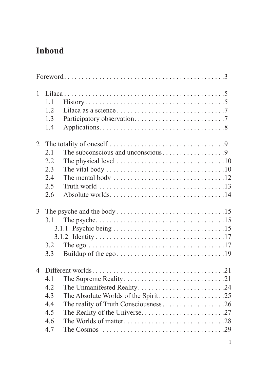#### **Inhoud**

| $\mathbf{1}$   |                                                                                                         |  |  |  |
|----------------|---------------------------------------------------------------------------------------------------------|--|--|--|
|                | $History \dots \dots \dots \dots \dots \dots \dots \dots \dots \dots \dots \dots \dots \dots$<br>1.1    |  |  |  |
|                | 1.2                                                                                                     |  |  |  |
|                | 1.3                                                                                                     |  |  |  |
|                | 1.4                                                                                                     |  |  |  |
| 2              | The totality of oneself $\dots \dots \dots \dots \dots \dots \dots \dots \dots \dots$ .9                |  |  |  |
|                | 2.1                                                                                                     |  |  |  |
|                | 2.2                                                                                                     |  |  |  |
|                | 2.3                                                                                                     |  |  |  |
|                | 2.4                                                                                                     |  |  |  |
|                | 2.5                                                                                                     |  |  |  |
|                | 2.6                                                                                                     |  |  |  |
| 3              |                                                                                                         |  |  |  |
|                | 3.1                                                                                                     |  |  |  |
|                |                                                                                                         |  |  |  |
|                |                                                                                                         |  |  |  |
|                | 3.2                                                                                                     |  |  |  |
|                | 3.3                                                                                                     |  |  |  |
| $\overline{4}$ |                                                                                                         |  |  |  |
|                | 4.1                                                                                                     |  |  |  |
|                | 4.2<br>The Unmanifested Reality24                                                                       |  |  |  |
|                | The Absolute Worlds of the Spirit25<br>4.3                                                              |  |  |  |
|                | 4.4                                                                                                     |  |  |  |
|                | 4.5                                                                                                     |  |  |  |
|                | 4.6                                                                                                     |  |  |  |
|                | 4.7<br>The Cosmos $\ldots \ldots \ldots \ldots \ldots \ldots \ldots \ldots \ldots \ldots \ldots \ldots$ |  |  |  |
|                |                                                                                                         |  |  |  |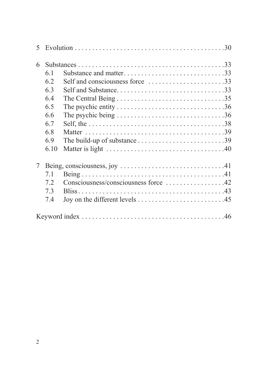| 6 |      |                                                                                                  |
|---|------|--------------------------------------------------------------------------------------------------|
|   | 6.1  | Substance and matter33                                                                           |
|   | 6.2  | Self and consciousness force 33                                                                  |
|   | 6.3  |                                                                                                  |
|   | 6.4  |                                                                                                  |
|   | 6.5  |                                                                                                  |
|   | 6.6  | The psychic being $\ldots \ldots \ldots \ldots \ldots \ldots \ldots \ldots \ldots \ldots \ldots$ |
|   | 6.7  |                                                                                                  |
|   | 6.8  |                                                                                                  |
|   | 6.9  |                                                                                                  |
|   | 6.10 |                                                                                                  |
| 7 |      |                                                                                                  |
|   | 7.1  |                                                                                                  |
|   | 7.2  | Consciousness/consciousness force 42                                                             |
|   | 7.3  |                                                                                                  |
|   | 7.4  |                                                                                                  |
|   |      |                                                                                                  |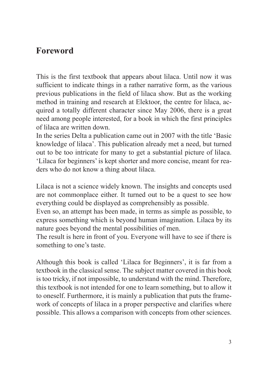#### **Foreword**

This is the first textbook that appears about lilaca. Until now it was sufficient to indicate things in a rather narrative form, as the various previous publications in the field of lilaca show. But as the working method in training and research at Elektoor, the centre for lilaca, acquired a totally different character since May 2006, there is a great need among people interested, for a book in which the first principles of lilaca are written down.

In the series Delta a publication came out in 2007 with the title 'Basic knowledge of lilaca'. This publication already met a need, but turned out to be too intricate for many to get a substantial picture of lilaca. 'Lilaca for beginners' is kept shorter and more concise, meant for readers who do not know a thing about lilaca.

Lilaca is not a science widely known. The insights and concepts used are not commonplace either. It turned out to be a quest to see how everything could be displayed as comprehensibly as possible.

Even so, an attempt has been made, in terms as simple as possible, to express something which is beyond human imagination. Lilaca by its nature goes beyond the mental possibilities of men.

The result is here in front of you. Everyone will have to see if there is something to one's taste.

Although this book is called 'Lilaca for Beginners', it is far from a textbook in the classical sense. The subject matter covered in this book is too tricky, if not impossible, to understand with the mind. Therefore, this textbook is not intended for one to learn something, but to allow it to oneself. Furthermore, it is mainly a publication that puts the framework of concepts of lilaca in a proper perspective and clarifies where possible. This allows a comparison with concepts from other sciences.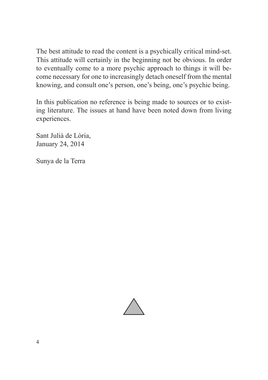The best attitude to read the content is a psychically critical mind-set. This attitude will certainly in the beginning not be obvious. In order to eventually come to a more psychic approach to things it will become necessary for one to increasingly detach oneself from the mental knowing, and consult one's person, one's being, one's psychic being.

In this publication no reference is being made to sources or to existing literature. The issues at hand have been noted down from living experiences.

Sant Julià de Lòria, January 24, 2014

Sunya de la Terra

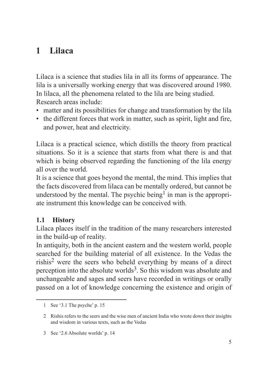#### **1 Lilaca**

Lilaca is a science that studies lila in all its forms of appearance. The lila is a universally working energy that was discovered around 1980. In lilaca, all the phenomena related to the lila are being studied. Research areas include:

- matter and its possibilities for change and transformation by the lila
- the different forces that work in matter, such as spirit, light and fire, and power, heat and electricity.

Lilaca is a practical science, which distills the theory from practical situations. So it is a science that starts from what there is and that which is being observed regarding the functioning of the lila energy all over the world.

It is a science that goes beyond the mental, the mind. This implies that the facts discovered from lilaca can be mentally ordered, but cannot be understood by the mental. The psychic being<sup>1</sup> in man is the appropriate instrument this knowledge can be conceived with.

#### **1.1 History**

Lilaca places itself in the tradition of the many researchers interested in the build-up of reality.

In antiquity, both in the ancient eastern and the western world, people searched for the building material of all existence. In the Vedas the rishis2 were the seers who beheld everything by means of a direct perception into the absolute worlds<sup>3</sup>. So this wisdom was absolute and unchangeable and sages and seers have recorded in writings or orally passed on a lot of knowledge concerning the existence and origin of

<sup>1</sup> See '3.1 The psyche' p. 15

<sup>2</sup> Rishis refers to the seers and the wise men of ancient India who wrote down their insights and wisdom in various texts, such as the Vedas

<sup>3</sup> See '2.6 Absolute worlds' p. 14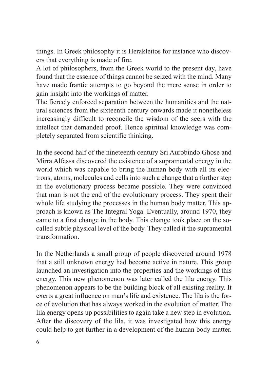things. In Greek philosophy it is Herakleitos for instance who discovers that everything is made of fire.

A lot of philosophers, from the Greek world to the present day, have found that the essence of things cannot be seized with the mind. Many have made frantic attempts to go beyond the mere sense in order to gain insight into the workings of matter.

The fiercely enforced separation between the humanities and the natural sciences from the sixteenth century onwards made it nonetheless increasingly difficult to reconcile the wisdom of the seers with the intellect that demanded proof. Hence spiritual knowledge was completely separated from scientific thinking.

In the second half of the nineteenth century Sri Aurobindo Ghose and Mirra Alfassa discovered the existence of a supramental energy in the world which was capable to bring the human body with all its electrons, atoms, molecules and cells into such a change that a further step in the evolutionary process became possible. They were convinced that man is not the end of the evolutionary process. They spent their whole life studying the processes in the human body matter. This approach is known as The Integral Yoga. Eventually, around 1970, they came to a first change in the body. This change took place on the socalled subtle physical level of the body. They called it the supramental transformation.

In the Netherlands a small group of people discovered around 1978 that a still unknown energy had become active in nature. This group launched an investigation into the properties and the workings of this energy. This new phenomenon was later called the lila energy. This phenomenon appears to be the building block of all existing reality. It exerts a great influence on man's life and existence. The lila is the force of evolution that has always worked in the evolution of matter. The lila energy opens up possibilities to again take a new step in evolution. After the discovery of the lila, it was investigated how this energy could help to get further in a development of the human body matter.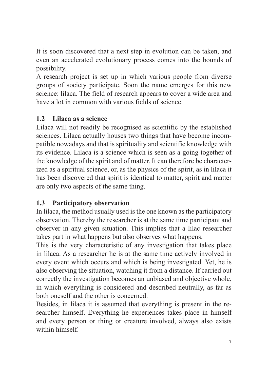It is soon discovered that a next step in evolution can be taken, and even an accelerated evolutionary process comes into the bounds of possibility.

A research project is set up in which various people from diverse groups of society participate. Soon the name emerges for this new science: lilaca. The field of research appears to cover a wide area and have a lot in common with various fields of science.

#### **1.2 Lilaca as a science**

Lilaca will not readily be recognised as scientific by the established sciences. Lilaca actually houses two things that have become incompatible nowadays and that is spirituality and scientific knowledge with its evidence. Lilaca is a science which is seen as a going together of the knowledge of the spirit and of matter. It can therefore be characterized as a spiritual science, or, as the physics of the spirit, as in lilaca it has been discovered that spirit is identical to matter, spirit and matter are only two aspects of the same thing.

#### **1.3 Participatory observation**

In lilaca, the method usually used is the one known as the participatory observation. Thereby the researcher is at the same time participant and observer in any given situation. This implies that a lilac researcher takes part in what happens but also observes what happens.

This is the very characteristic of any investigation that takes place in lilaca. As a researcher he is at the same time actively involved in every event which occurs and which is being investigated. Yet, he is also observing the situation, watching it from a distance. If carried out correctly the investigation becomes an unbiased and objective whole, in which everything is considered and described neutrally, as far as both oneself and the other is concerned.

Besides, in lilaca it is assumed that everything is present in the researcher himself. Everything he experiences takes place in himself and every person or thing or creature involved, always also exists within himself.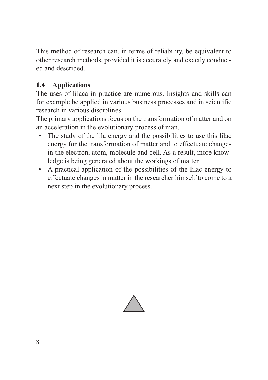This method of research can, in terms of reliability, be equivalent to other research methods, provided it is accurately and exactly conducted and described.

#### **1.4 Applications**

The uses of lilaca in practice are numerous. Insights and skills can for example be applied in various business processes and in scientific research in various disciplines.

The primary applications focus on the transformation of matter and on an acceleration in the evolutionary process of man.

- The study of the lila energy and the possibilities to use this lilac energy for the transformation of matter and to effectuate changes in the electron, atom, molecule and cell. As a result, more knowledge is being generated about the workings of matter.
- A practical application of the possibilities of the lilac energy to effectuate changes in matter in the researcher himself to come to a next step in the evolutionary process.

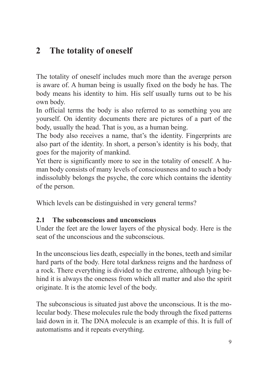#### **2 The totality of oneself**

The totality of oneself includes much more than the average person is aware of. A human being is usually fixed on the body he has. The body means his identity to him. His self usually turns out to be his own body.

In official terms the body is also referred to as something you are yourself. On identity documents there are pictures of a part of the body, usually the head. That is you, as a human being.

The body also receives a name, that's the identity. Fingerprints are also part of the identity. In short, a person's identity is his body, that goes for the majority of mankind.

Yet there is significantly more to see in the totality of oneself. A human body consists of many levels of consciousness and to such a body indissolubly belongs the psyche, the core which contains the identity of the person.

Which levels can be distinguished in very general terms?

#### **2.1 The subconscious and unconscious**

Under the feet are the lower layers of the physical body. Here is the seat of the unconscious and the subconscious.

In the unconscious lies death, especially in the bones, teeth and similar hard parts of the body. Here total darkness reigns and the hardness of a rock. There everything is divided to the extreme, although lying behind it is always the oneness from which all matter and also the spirit originate. It is the atomic level of the body.

The subconscious is situated just above the unconscious. It is the molecular body. These molecules rule the body through the fixed patterns laid down in it. The DNA molecule is an example of this. It is full of automatisms and it repeats everything.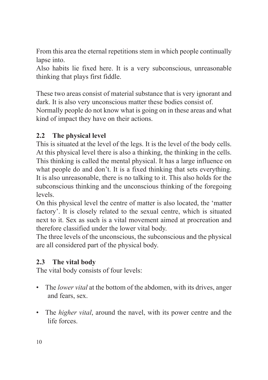From this area the eternal repetitions stem in which people continually lapse into.

Also habits lie fixed here. It is a very subconscious, unreasonable thinking that plays first fiddle.

These two areas consist of material substance that is very ignorant and dark. It is also very unconscious matter these bodies consist of. Normally people do not know what is going on in these areas and what kind of impact they have on their actions.

#### **2.2 The physical level**

This is situated at the level of the legs. It is the level of the body cells. At this physical level there is also a thinking, the thinking in the cells. This thinking is called the mental physical. It has a large influence on what people do and don't. It is a fixed thinking that sets everything. It is also unreasonable, there is no talking to it. This also holds for the subconscious thinking and the unconscious thinking of the foregoing levels.

On this physical level the centre of matter is also located, the 'matter factory'. It is closely related to the sexual centre, which is situated next to it. Sex as such is a vital movement aimed at procreation and therefore classified under the lower vital body.

The three levels of the unconscious, the subconscious and the physical are all considered part of the physical body.

#### **2.3 The vital body**

The vital body consists of four levels:

- The *lower vital* at the bottom of the abdomen, with its drives, anger and fears, sex.
- The *higher vital*, around the navel, with its power centre and the life forces.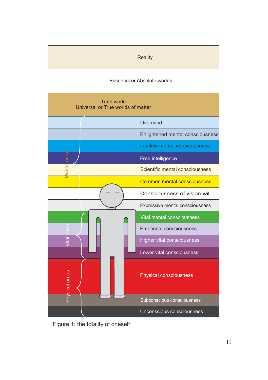

Figure 1: the totality of oneself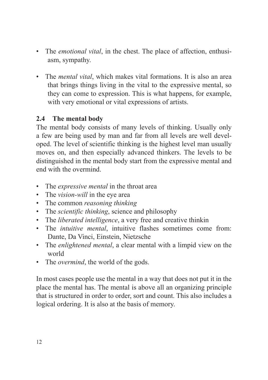- The *emotional vital*, in the chest. The place of affection, enthusiasm, sympathy.
- The *mental vital*, which makes vital formations. It is also an area that brings things living in the vital to the expressive mental, so they can come to expression. This is what happens, for example, with very emotional or vital expressions of artists.

#### **2.4 The mental body**

The mental body consists of many levels of thinking. Usually only a few are being used by man and far from all levels are well developed. The level of scientific thinking is the highest level man usually moves on, and then especially advanced thinkers. The levels to be distinguished in the mental body start from the expressive mental and end with the overmind.

- The *expressive mental* in the throat area
- The *vision-will* in the eye area
- The common *reasoning thinking*
- The *scientific thinking*, science and philosophy
- The *liberated intelligence*, a very free and creative thinkin
- The *intuitive mental*, intuitive flashes sometimes come from: Dante, Da Vinci, Einstein, Nietzsche
- The *enlightened mental*, a clear mental with a limpid view on the world
- The *overmind*, the world of the gods.

In most cases people use the mental in a way that does not put it in the place the mental has. The mental is above all an organizing principle that is structured in order to order, sort and count. This also includes a logical ordering. It is also at the basis of memory.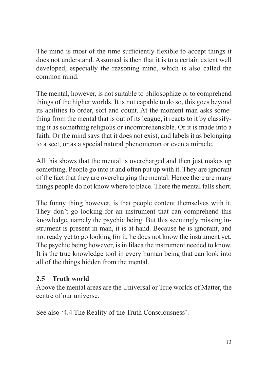The mind is most of the time sufficiently flexible to accept things it does not understand. Assumed is then that it is to a certain extent well developed, especially the reasoning mind, which is also called the common mind.

The mental, however, is not suitable to philosophize or to comprehend things of the higher worlds. It is not capable to do so, this goes beyond its abilities to order, sort and count. At the moment man asks something from the mental that is out of its league, it reacts to it by classifying it as something religious or incomprehensible. Or it is made into a faith. Or the mind says that it does not exist, and labels it as belonging to a sect, or as a special natural phenomenon or even a miracle.

All this shows that the mental is overcharged and then just makes up something. People go into it and often put up with it. They are ignorant of the fact that they are overcharging the mental. Hence there are many things people do not know where to place. There the mental falls short.

The funny thing however, is that people content themselves with it. They don't go looking for an instrument that can comprehend this knowledge, namely the psychic being. But this seemingly missing instrument is present in man, it is at hand. Because he is ignorant, and not ready yet to go looking for it, he does not know the instrument yet. The psychic being however, is in lilaca the instrument needed to know. It is the true knowledge tool in every human being that can look into all of the things hidden from the mental.

#### **2.5 Truth world**

Above the mental areas are the Universal or True worlds of Matter, the centre of our universe.

See also '4.4 The Reality of the Truth Consciousness'.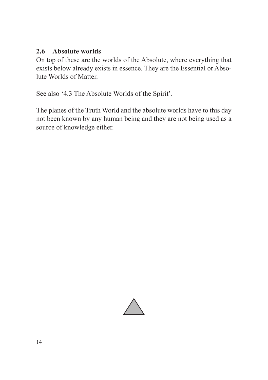#### **2.6 Absolute worlds**

On top of these are the worlds of the Absolute, where everything that exists below already exists in essence. They are the Essential or Absolute Worlds of Matter.

See also '4.3 The Absolute Worlds of the Spirit'.

The planes of the Truth World and the absolute worlds have to this day not been known by any human being and they are not being used as a source of knowledge either.

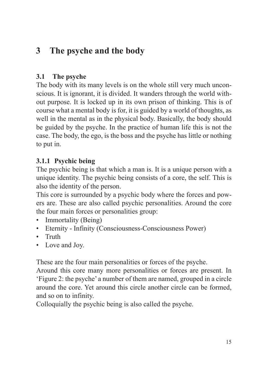#### **3 The psyche and the body**

#### **3.1 The psyche**

The body with its many levels is on the whole still very much unconscious. It is ignorant, it is divided. It wanders through the world without purpose. It is locked up in its own prison of thinking. This is of course what a mental body is for, it is guided by a world of thoughts, as well in the mental as in the physical body. Basically, the body should be guided by the psyche. In the practice of human life this is not the case. The body, the ego, is the boss and the psyche has little or nothing to put in.

#### **3.1.1 Psychic being**

The psychic being is that which a man is. It is a unique person with a unique identity. The psychic being consists of a core, the self. This is also the identity of the person.

This core is surrounded by a psychic body where the forces and powers are. These are also called psychic personalities. Around the core the four main forces or personalities group:

- Immortality (Being)
- Eternity Infinity (Consciousness-Consciousness Power)
- Truth
- Love and Joy.

These are the four main personalities or forces of the psyche.

Around this core many more personalities or forces are present. In 'Figure 2: the psyche' a number of them are named, grouped in a circle around the core. Yet around this circle another circle can be formed, and so on to infinity.

Colloquially the psychic being is also called the psyche.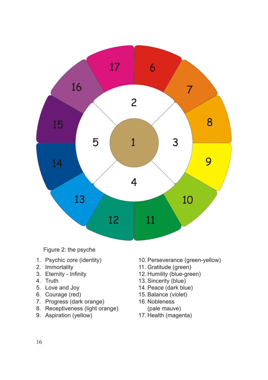

Figure 2: the psyche

- 1. Psychic core (identity)
- 2. Immortality
- 3. Eternity Infinity
- 4. Truth
- 5. Love and Joy
- 6. Courage (red)
- 7. Progress (dark orange)
- 8. Receptiveness (light orange)
- 9. Aspiration (yellow)
- 10. Perseverance (green-yellow)
- 11. Gratitude (green)
- 12. Humility (blue-green)
- 13. Sincerity (blue)
- 14. Peace (dark blue)
- 15. Balance (violet)
- 16. Nobleness
- (pale mauve)
- 17. Health (magenta)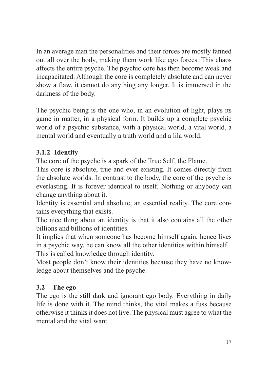In an average man the personalities and their forces are mostly fanned out all over the body, making them work like ego forces. This chaos affects the entire psyche. The psychic core has then become weak and incapacitated. Although the core is completely absolute and can never show a flaw, it cannot do anything any longer. It is immersed in the darkness of the body.

The psychic being is the one who, in an evolution of light, plays its game in matter, in a physical form. It builds up a complete psychic world of a psychic substance, with a physical world, a vital world, a mental world and eventually a truth world and a lila world.

#### **3.1.2 Identity**

The core of the psyche is a spark of the True Self, the Flame.

This core is absolute, true and ever existing. It comes directly from the absolute worlds. In contrast to the body, the core of the psyche is everlasting. It is forever identical to itself. Nothing or anybody can change anything about it.

Identity is essential and absolute, an essential reality. The core contains everything that exists.

The nice thing about an identity is that it also contains all the other billions and billions of identities.

It implies that when someone has become himself again, hence lives in a psychic way, he can know all the other identities within himself. This is called knowledge through identity.

Most people don't know their identities because they have no knowledge about themselves and the psyche.

#### **3.2 The ego**

The ego is the still dark and ignorant ego body. Everything in daily life is done with it. The mind thinks, the vital makes a fuss because otherwise it thinks it does not live. The physical must agree to what the mental and the vital want.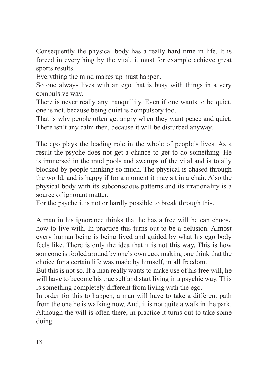Consequently the physical body has a really hard time in life. It is forced in everything by the vital, it must for example achieve great sports results.

Everything the mind makes up must happen.

So one always lives with an ego that is busy with things in a very compulsive way.

There is never really any tranquillity. Even if one wants to be quiet, one is not, because being quiet is compulsory too.

That is why people often get angry when they want peace and quiet. There isn't any calm then, because it will be disturbed anyway.

The ego plays the leading role in the whole of people's lives. As a result the psyche does not get a chance to get to do something. He is immersed in the mud pools and swamps of the vital and is totally blocked by people thinking so much. The physical is chased through the world, and is happy if for a moment it may sit in a chair. Also the physical body with its subconscious patterns and its irrationality is a source of ignorant matter.

For the psyche it is not or hardly possible to break through this.

A man in his ignorance thinks that he has a free will he can choose how to live with. In practice this turns out to be a delusion. Almost every human being is being lived and guided by what his ego body feels like. There is only the idea that it is not this way. This is how someone is fooled around by one's own ego, making one think that the choice for a certain life was made by himself, in all freedom.

But this is not so. If a man really wants to make use of his free will, he will have to become his true self and start living in a psychic way. This is something completely different from living with the ego.

In order for this to happen, a man will have to take a different path from the one he is walking now. And, it is not quite a walk in the park. Although the will is often there, in practice it turns out to take some doing.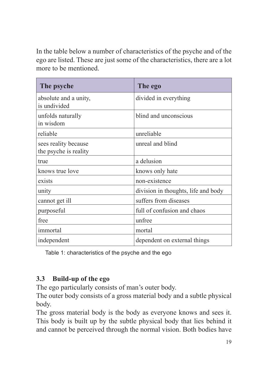In the table below a number of characteristics of the psyche and of the ego are listed. These are just some of the characteristics, there are a lot more to be mentioned.

| The psyche                                    | The ego                             |
|-----------------------------------------------|-------------------------------------|
| absolute and a unity,<br>is undivided         | divided in everything               |
| unfolds naturally<br>in wisdom                | blind and unconscious               |
| reliable                                      | unreliable                          |
| sees reality because<br>the psyche is reality | unreal and blind                    |
| true                                          | a delusion                          |
| knows true love                               | knows only hate                     |
| exists                                        | non-existence                       |
| unity                                         | division in thoughts, life and body |
| cannot get ill                                | suffers from diseases               |
| purposeful                                    | full of confusion and chaos         |
| free                                          | unfree                              |
| immortal                                      | mortal                              |
| independent                                   | dependent on external things        |

Table 1: characteristics of the psyche and the ego

#### **3.3 Build-up of the ego**

The ego particularly consists of man's outer body.

The outer body consists of a gross material body and a subtle physical body.

The gross material body is the body as everyone knows and sees it. This body is built up by the subtle physical body that lies behind it and cannot be perceived through the normal vision. Both bodies have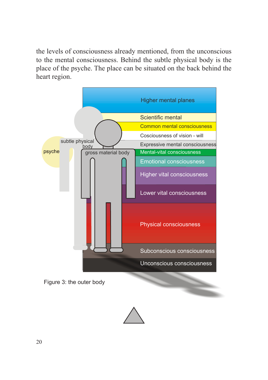the levels of consciousness already mentioned, from the unconscious to the mental consciousness. Behind the subtle physical body is the place of the psyche. The place can be situated on the back behind the heart region.



Figure 3: the outer body

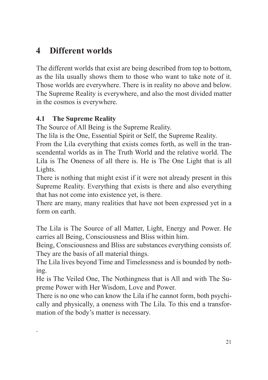#### **4 Different worlds**

The different worlds that exist are being described from top to bottom, as the lila usually shows them to those who want to take note of it. Those worlds are everywhere. There is in reality no above and below. The Supreme Reality is everywhere, and also the most divided matter in the cosmos is everywhere.

#### **4.1 The Supreme Reality**

.

The Source of All Being is the Supreme Reality.

The lila is the One, Essential Spirit or Self, the Supreme Reality.

From the Lila everything that exists comes forth, as well in the transcendental worlds as in The Truth World and the relative world. The Lila is The Oneness of all there is. He is The One Light that is all Lights.

There is nothing that might exist if it were not already present in this Supreme Reality. Everything that exists is there and also everything that has not come into existence yet, is there.

There are many, many realities that have not been expressed yet in a form on earth.

The Lila is The Source of all Matter, Light, Energy and Power. He carries all Being, Consciousness and Bliss within him.

Being, Consciousness and Bliss are substances everything consists of. They are the basis of all material things.

The Lila lives beyond Time and Timelessness and is bounded by nothing.

He is The Veiled One, The Nothingness that is All and with The Supreme Power with Her Wisdom, Love and Power.

There is no one who can know the Lila if he cannot form, both psychically and physically, a oneness with The Lila. To this end a transformation of the body's matter is necessary.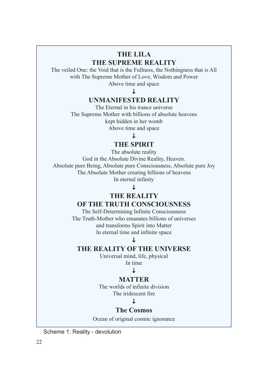#### **THE LILA THE SUPREME REALITY**

The veiled One: the Void that is the Fullness, the Nothingness that is All with The Supreme Mother of Love, Wisdom and Power Above time and space

Τ

#### **UNMANIFESTED REALITY**

The Eternal in his trance universe The Supreme Mother with billions of absolute heavens kept hidden in her womb Above time and space

#### $\perp$

#### **THE SPIRIT**

The absolute reality God in the Absolute Divine Reality, Heaven. Absolute pure Being, Absolute pure Consciousness, Absolute pure Joy The Absolute Mother creating billions of heavens In eternal infinity

#### T

#### **THE REALITY**

#### **OF THE TRUTH CONSCIOUSNESS**

The Self-Determining Infinite Consciousness The Truth-Mother who emanates billions of universes and transforms Spirit into Matter In eternal time and infinite space

#### $\downarrow$

#### **THE REALITY OF THE UNIVERSE**

Universal mind, life, physical In time

#### $\perp$

#### **MATTER**

The worlds of infinite division The iridescent fire

#### $\mathbf{I}$

#### **The Cosmos**

Ocean of original cosmic ignorance

Scheme 1: Reality - devolution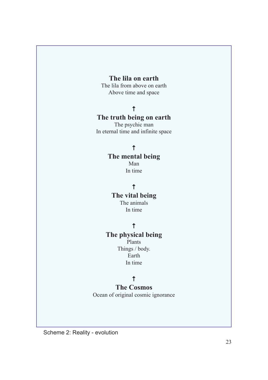#### **The lila on earth**

The lila from above on earth Above time and space

#### $\uparrow$

#### **The truth being on earth**

The psychic man In eternal time and infinite space

#### $\uparrow$

#### **The mental being**

Man In time

#### $\ddot{\uparrow}$

#### **The vital being** The animals In time

#### $\ddot{\tau}$

#### **The physical being**

Plants Things / body. Earth In time

#### $\ddot{\phantom{1}}$

#### **The Cosmos**

Ocean of original cosmic ignorance

Scheme 2: Reality - evolution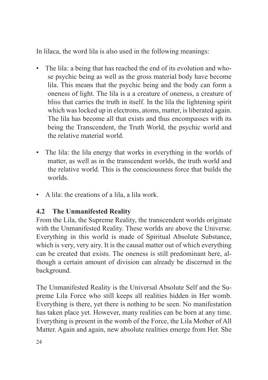In lilaca, the word lila is also used in the following meanings:

- The lila: a being that has reached the end of its evolution and whose psychic being as well as the gross material body have become lila. This means that the psychic being and the body can form a oneness of light. The lila is a a creature of oneness, a creature of bliss that carries the truth in itself. In the lila the lightening spirit which was locked up in electrons, atoms, matter, is liberated again. The lila has become all that exists and thus encompasses with its being the Transcendent, the Truth World, the psychic world and the relative material world.
- The lila: the lila energy that works in everything in the worlds of matter, as well as in the transcendent worlds, the truth world and the relative world. This is the consciousness force that builds the worlds.
- A lila: the creations of a lila, a lila work.

#### **4.2 The Unmanifested Reality**

From the Lila, the Supreme Reality, the transcendent worlds originate with the Unmanifested Reality. These worlds are above the Universe. Everything in this world is made of Spiritual Absolute Substance, which is very, very airy. It is the causal matter out of which everything can be created that exists. The oneness is still predominant here, although a certain amount of division can already be discerned in the background.

The Unmanifested Reality is the Universal Absolute Self and the Supreme Lila Force who still keeps all realities hidden in Her womb. Everything is there, yet there is nothing to be seen. No manifestation has taken place yet. However, many realities can be born at any time. Everything is present in the womb of the Force, the Lila Mother of All Matter. Again and again, new absolute realities emerge from Her. She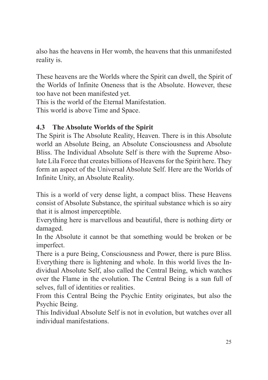also has the heavens in Her womb, the heavens that this unmanifested reality is.

These heavens are the Worlds where the Spirit can dwell, the Spirit of the Worlds of Infinite Oneness that is the Absolute. However, these too have not been manifested yet.

This is the world of the Eternal Manifestation.

This world is above Time and Space.

#### **4.3 The Absolute Worlds of the Spirit**

The Spirit is The Absolute Reality, Heaven. There is in this Absolute world an Absolute Being, an Absolute Consciousness and Absolute Bliss. The Individual Absolute Self is there with the Supreme Absolute Lila Force that creates billions of Heavens for the Spirit here. They form an aspect of the Universal Absolute Self. Here are the Worlds of Infinite Unity, an Absolute Reality.

This is a world of very dense light, a compact bliss. These Heavens consist of Absolute Substance, the spiritual substance which is so airy that it is almost imperceptible.

Everything here is marvellous and beautiful, there is nothing dirty or damaged.

In the Absolute it cannot be that something would be broken or be imperfect.

There is a pure Being, Consciousness and Power, there is pure Bliss. Everything there is lightening and whole. In this world lives the Individual Absolute Self, also called the Central Being, which watches over the Flame in the evolution. The Central Being is a sun full of selves, full of identities or realities.

From this Central Being the Psychic Entity originates, but also the Psychic Being.

This Individual Absolute Self is not in evolution, but watches over all individual manifestations.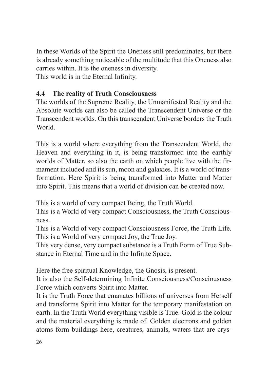In these Worlds of the Spirit the Oneness still predominates, but there is already something noticeable of the multitude that this Oneness also carries within. It is the oneness in diversity. This world is in the Eternal Infinity.

#### **4.4 The reality of Truth Consciousness**

The worlds of the Supreme Reality, the Unmanifested Reality and the Absolute worlds can also be called the Transcendent Universe or the Transcendent worlds. On this transcendent Universe borders the Truth World.

This is a world where everything from the Transcendent World, the Heaven and everything in it, is being transformed into the earthly worlds of Matter, so also the earth on which people live with the firmament included and its sun, moon and galaxies. It is a world of transformation. Here Spirit is being transformed into Matter and Matter into Spirit. This means that a world of division can be created now.

This is a world of very compact Being, the Truth World.

This is a World of very compact Consciousness, the Truth Consciousness.

This is a World of very compact Consciousness Force, the Truth Life. This is a World of very compact Joy, the True Joy.

This very dense, very compact substance is a Truth Form of True Substance in Eternal Time and in the Infinite Space.

Here the free spiritual Knowledge, the Gnosis, is present.

It is also the Self-determining Infinite Consciousness/Consciousness Force which converts Spirit into Matter.

It is the Truth Force that emanates billions of universes from Herself and transforms Spirit into Matter for the temporary manifestation on earth. In the Truth World everything visible is True. Gold is the colour and the material everything is made of. Golden electrons and golden atoms form buildings here, creatures, animals, waters that are crys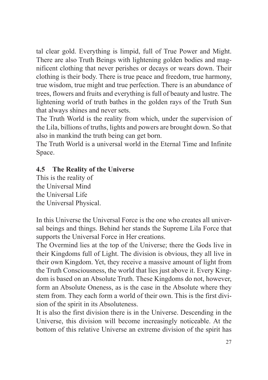tal clear gold. Everything is limpid, full of True Power and Might. There are also Truth Beings with lightening golden bodies and magnificent clothing that never perishes or decays or wears down. Their clothing is their body. There is true peace and freedom, true harmony, true wisdom, true might and true perfection. There is an abundance of trees, flowers and fruits and everything is full of beauty and lustre. The lightening world of truth bathes in the golden rays of the Truth Sun that always shines and never sets.

The Truth World is the reality from which, under the supervision of the Lila, billions of truths, lights and powers are brought down. So that also in mankind the truth being can get born.

The Truth World is a universal world in the Eternal Time and Infinite Space.

#### **4.5 The Reality of the Universe**

This is the reality of the Universal Mind the Universal Life the Universal Physical.

In this Universe the Universal Force is the one who creates all universal beings and things. Behind her stands the Supreme Lila Force that supports the Universal Force in Her creations.

The Overmind lies at the top of the Universe; there the Gods live in their Kingdoms full of Light. The division is obvious, they all live in their own Kingdom. Yet, they receive a massive amount of light from the Truth Consciousness, the world that lies just above it. Every Kingdom is based on an Absolute Truth. These Kingdoms do not, however, form an Absolute Oneness, as is the case in the Absolute where they stem from. They each form a world of their own. This is the first division of the spirit in its Absoluteness.

It is also the first division there is in the Universe. Descending in the Universe, this division will become increasingly noticeable. At the bottom of this relative Universe an extreme division of the spirit has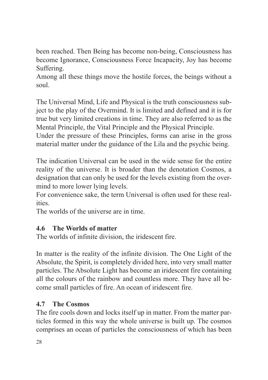been reached. Then Being has become non-being, Consciousness has become Ignorance, Consciousness Force Incapacity, Joy has become Suffering.

Among all these things move the hostile forces, the beings without a soul.

The Universal Mind, Life and Physical is the truth consciousness subject to the play of the Overmind. It is limited and defined and it is for true but very limited creations in time. They are also referred to as the Mental Principle, the Vital Principle and the Physical Principle.

Under the pressure of these Principles, forms can arise in the gross material matter under the guidance of the Lila and the psychic being.

The indication Universal can be used in the wide sense for the entire reality of the universe. It is broader than the denotation Cosmos, a designation that can only be used for the levels existing from the overmind to more lower lying levels.

For convenience sake, the term Universal is often used for these realities.

The worlds of the universe are in time.

#### **4.6 The Worlds of matter**

The worlds of infinite division, the iridescent fire.

In matter is the reality of the infinite division. The One Light of the Absolute, the Spirit, is completely divided here, into very small matter particles. The Absolute Light has become an iridescent fire containing all the colours of the rainbow and countless more. They have all become small particles of fire. An ocean of iridescent fire.

#### **4.7 The Cosmos**

The fire cools down and locks itself up in matter. From the matter particles formed in this way the whole universe is built up. The cosmos comprises an ocean of particles the consciousness of which has been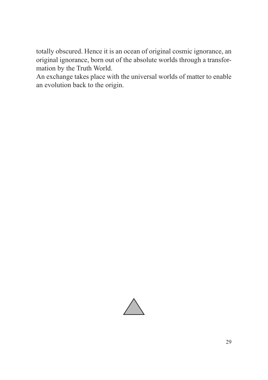totally obscured. Hence it is an ocean of original cosmic ignorance, an original ignorance, born out of the absolute worlds through a transformation by the Truth World.

An exchange takes place with the universal worlds of matter to enable an evolution back to the origin.

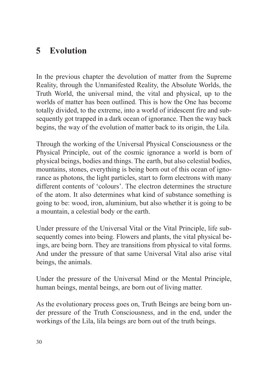#### **5 Evolution**

In the previous chapter the devolution of matter from the Supreme Reality, through the Unmanifested Reality, the Absolute Worlds, the Truth World, the universal mind, the vital and physical, up to the worlds of matter has been outlined. This is how the One has become totally divided, to the extreme, into a world of iridescent fire and subsequently got trapped in a dark ocean of ignorance. Then the way back begins, the way of the evolution of matter back to its origin, the Lila.

Through the working of the Universal Physical Consciousness or the Physical Principle, out of the cosmic ignorance a world is born of physical beings, bodies and things. The earth, but also celestial bodies, mountains, stones, everything is being born out of this ocean of ignorance as photons, the light particles, start to form electrons with many different contents of 'colours'. The electron determines the structure of the atom. It also determines what kind of substance something is going to be: wood, iron, aluminium, but also whether it is going to be a mountain, a celestial body or the earth.

Under pressure of the Universal Vital or the Vital Principle, life subsequently comes into being. Flowers and plants, the vital physical beings, are being born. They are transitions from physical to vital forms. And under the pressure of that same Universal Vital also arise vital beings, the animals.

Under the pressure of the Universal Mind or the Mental Principle, human beings, mental beings, are born out of living matter.

As the evolutionary process goes on, Truth Beings are being born under pressure of the Truth Consciousness, and in the end, under the workings of the Lila, lila beings are born out of the truth beings.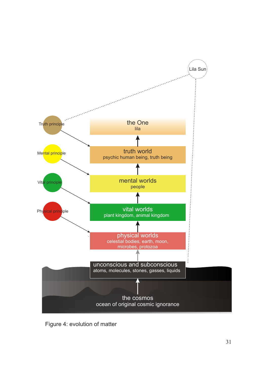

Figure 4: evolution of matter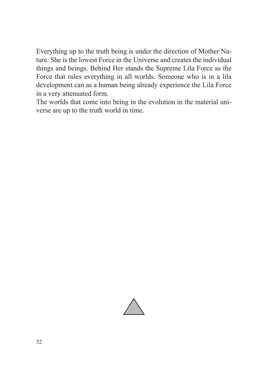Everything up to the truth being is under the direction of Mother Nature. She is the lowest Force in the Universe and creates the individual things and beings. Behind Her stands the Supreme Lila Force as the Force that rules everything in all worlds. Someone who is in a lila development can as a human being already experience the Lila Force in a very attenuated form.

The worlds that come into being in the evolution in the material universe are up to the truth world in time.

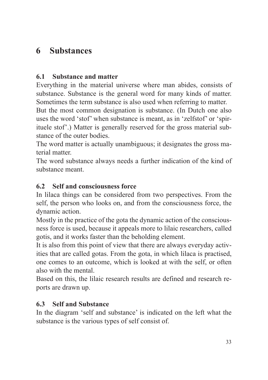#### **6 Substances**

#### **6.1 Substance and matter**

Everything in the material universe where man abides, consists of substance. Substance is the general word for many kinds of matter. Sometimes the term substance is also used when referring to matter.

But the most common designation is substance. (In Dutch one also uses the word 'stof' when substance is meant, as in 'zelfstof' or 'spirituele stof'.) Matter is generally reserved for the gross material substance of the outer bodies.

The word matter is actually unambiguous; it designates the gross material matter.

The word substance always needs a further indication of the kind of substance meant.

#### **6.2 Self and consciousness force**

In lilaca things can be considered from two perspectives. From the self, the person who looks on, and from the consciousness force, the dynamic action.

Mostly in the practice of the gota the dynamic action of the consciousness force is used, because it appeals more to lilaic researchers, called gotis, and it works faster than the beholding element.

It is also from this point of view that there are always everyday activities that are called gotas. From the gota, in which lilaca is practised, one comes to an outcome, which is looked at with the self, or often also with the mental.

Based on this, the lilaic research results are defined and research reports are drawn up.

#### **6.3 Self and Substance**

In the diagram 'self and substance' is indicated on the left what the substance is the various types of self consist of.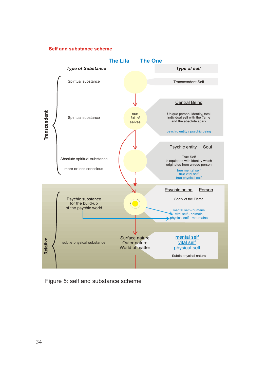#### **Self and substance scheme**



Figure 5: self and substance scheme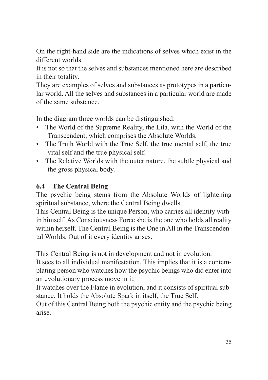On the right-hand side are the indications of selves which exist in the different worlds.

It is not so that the selves and substances mentioned here are described in their totality.

They are examples of selves and substances as prototypes in a particular world. All the selves and substances in a particular world are made of the same substance.

In the diagram three worlds can be distinguished:

- The World of the Supreme Reality, the Lila, with the World of the Transcendent, which comprises the Absolute Worlds.
- The Truth World with the True Self, the true mental self, the true vital self and the true physical self.
- The Relative Worlds with the outer nature, the subtle physical and the gross physical body.

#### **6.4 The Central Being**

The psychic being stems from the Absolute Worlds of lightening spiritual substance, where the Central Being dwells.

This Central Being is the unique Person, who carries all identity within himself. As Consciousness Force she is the one who holds all reality within herself. The Central Being is the One in All in the Transcendental Worlds. Out of it every identity arises.

This Central Being is not in development and not in evolution.

It sees to all individual manifestation. This implies that it is a contemplating person who watches how the psychic beings who did enter into an evolutionary process move in it.

It watches over the Flame in evolution, and it consists of spiritual substance. It holds the Absolute Spark in itself, the True Self.

Out of this Central Being both the psychic entity and the psychic being arise.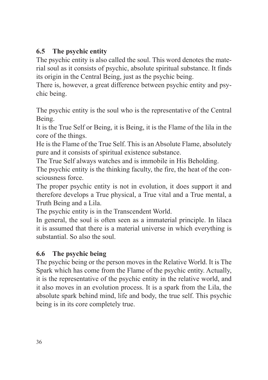#### **6.5 The psychic entity**

The psychic entity is also called the soul. This word denotes the material soul as it consists of psychic, absolute spiritual substance. It finds its origin in the Central Being, just as the psychic being.

There is, however, a great difference between psychic entity and psychic being.

The psychic entity is the soul who is the representative of the Central Being.

It is the True Self or Being, it is Being, it is the Flame of the lila in the core of the things.

He is the Flame of the True Self. This is an Absolute Flame, absolutely pure and it consists of spiritual existence substance.

The True Self always watches and is immobile in His Beholding.

The psychic entity is the thinking faculty, the fire, the heat of the consciousness force.

The proper psychic entity is not in evolution, it does support it and therefore develops a True physical, a True vital and a True mental, a Truth Being and a Lila.

The psychic entity is in the Transcendent World.

In general, the soul is often seen as a immaterial principle. In lilaca it is assumed that there is a material universe in which everything is substantial. So also the soul.

#### **6.6 The psychic being**

The psychic being or the person moves in the Relative World. It is The Spark which has come from the Flame of the psychic entity. Actually, it is the representative of the psychic entity in the relative world, and it also moves in an evolution process. It is a spark from the Lila, the absolute spark behind mind, life and body, the true self. This psychic being is in its core completely true.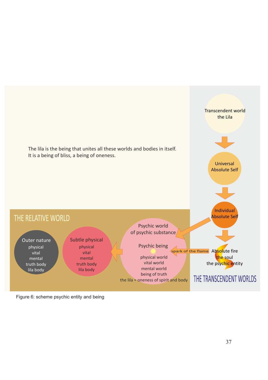

Figure 6: scheme psychic entity and being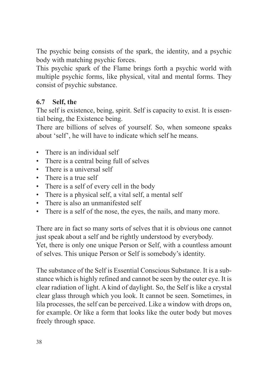The psychic being consists of the spark, the identity, and a psychic body with matching psychic forces.

This psychic spark of the Flame brings forth a psychic world with multiple psychic forms, like physical, vital and mental forms. They consist of psychic substance.

#### **6.7 Self, the**

The self is existence, being, spirit. Self is capacity to exist. It is essential being, the Existence being.

There are billions of selves of yourself. So, when someone speaks about 'self', he will have to indicate which self he means.

- There is an individual self
- There is a central being full of selves
- There is a universal self
- There is a true self
- There is a self of every cell in the body
- There is a physical self, a vital self, a mental self
- There is also an unmanifested self
- There is a self of the nose, the eyes, the nails, and many more.

There are in fact so many sorts of selves that it is obvious one cannot just speak about a self and be rightly understood by everybody. Yet, there is only one unique Person or Self, with a countless amount of selves. This unique Person or Self is somebody's identity.

The substance of the Self is Essential Conscious Substance. It is a substance which is highly refined and cannot be seen by the outer eye. It is clear radiation of light. A kind of daylight. So, the Self is like a crystal clear glass through which you look. It cannot be seen. Sometimes, in lila processes, the self can be perceived. Like a window with drops on, for example. Or like a form that looks like the outer body but moves freely through space.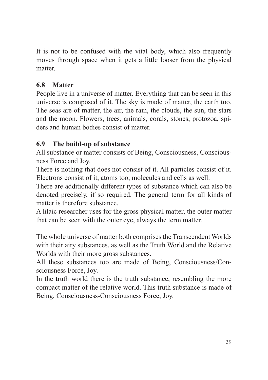It is not to be confused with the vital body, which also frequently moves through space when it gets a little looser from the physical matter.

#### **6.8 Matter**

People live in a universe of matter. Everything that can be seen in this universe is composed of it. The sky is made of matter, the earth too. The seas are of matter, the air, the rain, the clouds, the sun, the stars and the moon. Flowers, trees, animals, corals, stones, protozoa, spiders and human bodies consist of matter.

#### **6.9 The build-up of substance**

All substance or matter consists of Being, Consciousness, Consciousness Force and Joy.

There is nothing that does not consist of it. All particles consist of it. Electrons consist of it, atoms too, molecules and cells as well.

There are additionally different types of substance which can also be denoted precisely, if so required. The general term for all kinds of matter is therefore substance.

A lilaic researcher uses for the gross physical matter, the outer matter that can be seen with the outer eye, always the term matter.

The whole universe of matter both comprises the Transcendent Worlds with their airy substances, as well as the Truth World and the Relative Worlds with their more gross substances.

All these substances too are made of Being, Consciousness/Consciousness Force, Joy.

In the truth world there is the truth substance, resembling the more compact matter of the relative world. This truth substance is made of Being, Consciousness-Consciousness Force, Joy.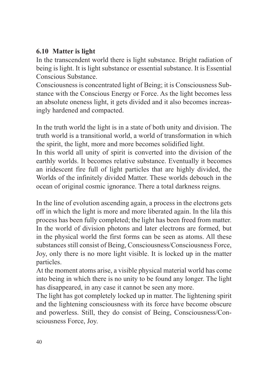#### **6.10 Matter is light**

In the transcendent world there is light substance. Bright radiation of being is light. It is light substance or essential substance. It is Essential Conscious Substance.

Consciousness is concentrated light of Being; it is Consciousness Substance with the Conscious Energy or Force. As the light becomes less an absolute oneness light, it gets divided and it also becomes increasingly hardened and compacted.

In the truth world the light is in a state of both unity and division. The truth world is a transitional world, a world of transformation in which the spirit, the light, more and more becomes solidified light.

In this world all unity of spirit is converted into the division of the earthly worlds. It becomes relative substance. Eventually it becomes an iridescent fire full of light particles that are highly divided, the Worlds of the infinitely divided Matter. These worlds debouch in the ocean of original cosmic ignorance. There a total darkness reigns.

In the line of evolution ascending again, a process in the electrons gets off in which the light is more and more liberated again. In the lila this process has been fully completed; the light has been freed from matter. In the world of division photons and later electrons are formed, but in the physical world the first forms can be seen as atoms. All these substances still consist of Being, Consciousness/Consciousness Force, Joy, only there is no more light visible. It is locked up in the matter particles.

At the moment atoms arise, a visible physical material world has come into being in which there is no unity to be found any longer. The light has disappeared, in any case it cannot be seen any more.

The light has got completely locked up in matter. The lightening spirit and the lightening consciousness with its force have become obscure and powerless. Still, they do consist of Being, Consciousness/Consciousness Force, Joy.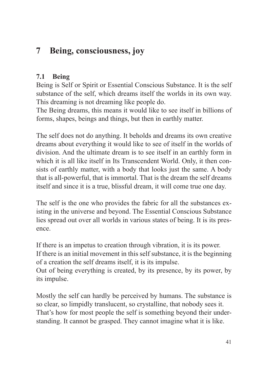#### **7 Being, consciousness, joy**

#### **7.1 Being**

Being is Self or Spirit or Essential Conscious Substance. It is the self substance of the self, which dreams itself the worlds in its own way. This dreaming is not dreaming like people do.

The Being dreams, this means it would like to see itself in billions of forms, shapes, beings and things, but then in earthly matter.

The self does not do anything. It beholds and dreams its own creative dreams about everything it would like to see of itself in the worlds of division. And the ultimate dream is to see itself in an earthly form in which it is all like itself in Its Transcendent World. Only, it then consists of earthly matter, with a body that looks just the same. A body that is all-powerful, that is immortal. That is the dream the self dreams itself and since it is a true, blissful dream, it will come true one day.

The self is the one who provides the fabric for all the substances existing in the universe and beyond. The Essential Conscious Substance lies spread out over all worlds in various states of being. It is its presence.

If there is an impetus to creation through vibration, it is its power. If there is an initial movement in this self substance, it is the beginning of a creation the self dreams itself, it is its impulse. Out of being everything is created, by its presence, by its power, by its impulse.

Mostly the self can hardly be perceived by humans. The substance is so clear, so limpidly translucent, so crystalline, that nobody sees it. That's how for most people the self is something beyond their understanding. It cannot be grasped. They cannot imagine what it is like.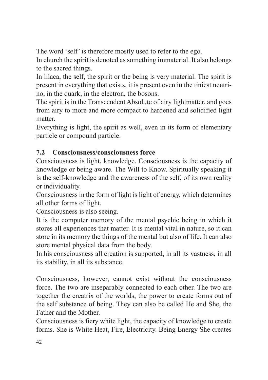The word 'self' is therefore mostly used to refer to the ego.

In church the spirit is denoted as something immaterial. It also belongs to the sacred things.

In lilaca, the self, the spirit or the being is very material. The spirit is present in everything that exists, it is present even in the tiniest neutrino, in the quark, in the electron, the bosons.

The spirit is in the Transcendent Absolute of airy lightmatter, and goes from airy to more and more compact to hardened and solidified light matter.

Everything is light, the spirit as well, even in its form of elementary particle or compound particle.

#### **7.2 Consciousness/consciousness force**

Consciousness is light, knowledge. Consciousness is the capacity of knowledge or being aware. The Will to Know. Spiritually speaking it is the self-knowledge and the awareness of the self, of its own reality or individuality.

Consciousness in the form of light is light of energy, which determines all other forms of light.

Consciousness is also seeing.

It is the computer memory of the mental psychic being in which it stores all experiences that matter. It is mental vital in nature, so it can store in its memory the things of the mental but also of life. It can also store mental physical data from the body.

In his consciousness all creation is supported, in all its vastness, in all its stability, in all its substance.

Consciousness, however, cannot exist without the consciousness force. The two are inseparably connected to each other. The two are together the creatrix of the worlds, the power to create forms out of the self substance of being. They can also be called He and She, the Father and the Mother.

Consciousness is fiery white light, the capacity of knowledge to create forms. She is White Heat, Fire, Electricity. Being Energy She creates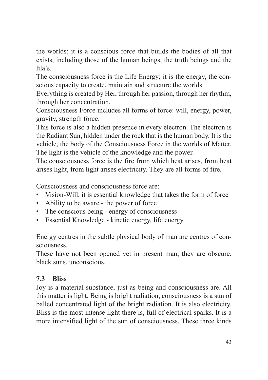the worlds; it is a conscious force that builds the bodies of all that exists, including those of the human beings, the truth beings and the lila's.

The consciousness force is the Life Energy; it is the energy, the conscious capacity to create, maintain and structure the worlds.

Everything is created by Her, through her passion, through her rhythm, through her concentration.

Consciousness Force includes all forms of force: will, energy, power, gravity, strength force.

This force is also a hidden presence in every electron. The electron is the Radiant Sun, hidden under the rock that is the human body. It is the vehicle, the body of the Consciousness Force in the worlds of Matter. The light is the vehicle of the knowledge and the power.

The consciousness force is the fire from which heat arises, from heat arises light, from light arises electricity. They are all forms of fire.

Consciousness and consciousness force are:

- Vision-Will, it is essential knowledge that takes the form of force
- Ability to be aware the power of force
- The conscious being energy of consciousness
- Essential Knowledge kinetic energy, life energy

Energy centres in the subtle physical body of man are centres of consciousness.

These have not been opened yet in present man, they are obscure, black suns, unconscious.

#### **7.3 Bliss**

Joy is a material substance, just as being and consciousness are. All this matter is light. Being is bright radiation, consciousness is a sun of balled concentrated light of the bright radiation. It is also electricity. Bliss is the most intense light there is, full of electrical sparks. It is a more intensified light of the sun of consciousness. These three kinds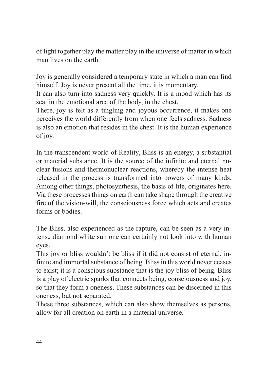of light together play the matter play in the universe of matter in which man lives on the earth.

Joy is generally considered a temporary state in which a man can find himself. Joy is never present all the time, it is momentary.

It can also turn into sadness very quickly. It is a mood which has its seat in the emotional area of the body, in the chest.

There, joy is felt as a tingling and joyous occurrence, it makes one perceives the world differently from when one feels sadness. Sadness is also an emotion that resides in the chest. It is the human experience of joy.

In the transcendent world of Reality, Bliss is an energy, a substantial or material substance. It is the source of the infinite and eternal nuclear fusions and thermonuclear reactions, whereby the intense heat released in the process is transformed into powers of many kinds. Among other things, photosynthesis, the basis of life, originates here. Via these processes things on earth can take shape through the creative fire of the vision-will, the consciousness force which acts and creates forms or bodies.

The Bliss, also experienced as the rapture, can be seen as a very intense diamond white sun one can certainly not look into with human eyes.

This joy or bliss wouldn't be bliss if it did not consist of eternal, infinite and immortal substance of being. Bliss in this world never ceases to exist; it is a conscious substance that is the joy bliss of being. Bliss is a play of electric sparks that connects being, consciousness and joy, so that they form a oneness. These substances can be discerned in this oneness, but not separated.

These three substances, which can also show themselves as persons, allow for all creation on earth in a material universe.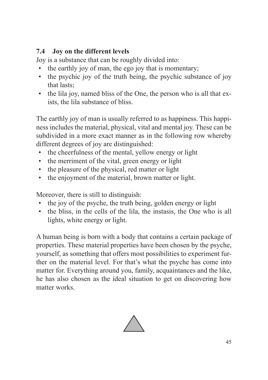#### **7.4 Joy on the different levels**

Joy is a substance that can be roughly divided into:

- the earthly joy of man, the ego joy that is momentary;
- the psychic joy of the truth being, the psychic substance of joy that lasts;
- the lila joy, named bliss of the One, the person who is all that exists, the lila substance of bliss.

The earthly joy of man is usually referred to as happiness. This happiness includes the material, physical, vital and mental joy. These can be subdivided in a more exact manner as in the following row whereby different degrees of joy are distinguished:

- the cheerfulness of the mental, yellow energy or light
- the merriment of the vital, green energy or light
- the pleasure of the physical, red matter or light
- the enjoyment of the material, brown matter or light.

Moreover, there is still to distinguish:

- the joy of the psyche, the truth being, golden energy or light
- the bliss, in the cells of the lila, the instasis, the One who is all lights, white energy or light.

A human being is born with a body that contains a certain package of properties. These material properties have been chosen by the psyche, yourself, as something that offers most possibilities to experiment further on the material level. For that's what the psyche has come into matter for. Everything around you, family, acquaintances and the like, he has also chosen as the ideal situation to get on discovering how matter works.

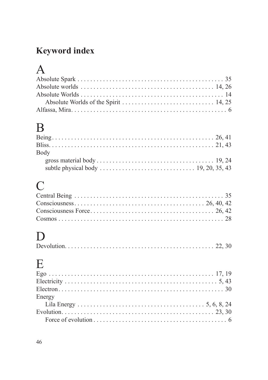### **Keyword index**

## $\mathbf{A}$

## $\overline{B}$

| Bodv |  |
|------|--|
|      |  |
|      |  |

## $\overline{C}$

## $\label{eq:1} \mathbf{D}$

|--|--|--|--|

## $\overline{\mathbf{E}}$

| Energy |  |
|--------|--|
|        |  |
|        |  |
|        |  |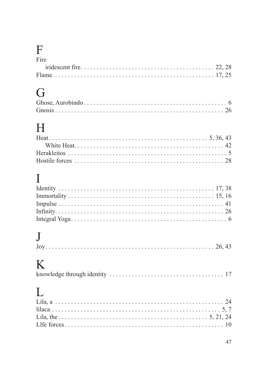## $\mathop{\mathrm{F}}_{\mathrm{Fire}}$

| r <sub>1</sub> re |  |
|-------------------|--|
|                   |  |
|                   |  |

## $\overline{G}$

| . |  |
|---|--|
|   |  |
|   |  |

## $\overline{\mathrm{H}}$

## $\mathbf I$

## $\mathbf{J}$

## $\overline{\mathbf{K}}$

|--|--|--|

## $\overline{L}$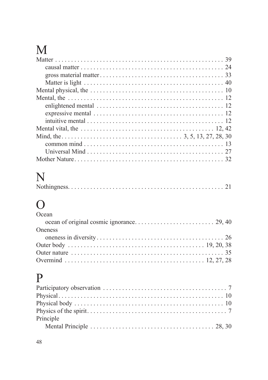## $\mathbf M$

# N<br>Notl

|--|

## $\mathbf P$

| Principle |  |
|-----------|--|
|           |  |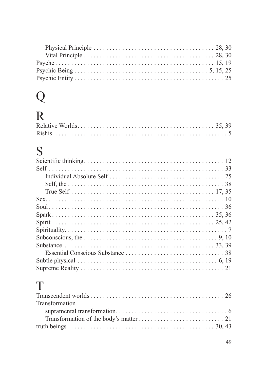## $Q$ <br>R

## S

## $\mathbf T$

| Transformation |  |
|----------------|--|
|                |  |
|                |  |
|                |  |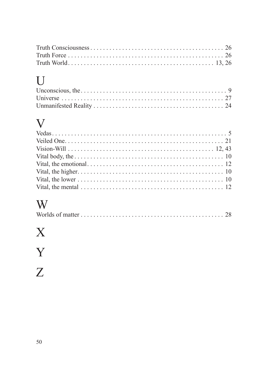## $\overline{U}$

## $\overline{V}$

| Vital body, the $\ldots$ $\ldots$ $\ldots$ $\ldots$ $\ldots$ $\ldots$ $\ldots$ 10 |  |
|-----------------------------------------------------------------------------------|--|
|                                                                                   |  |
|                                                                                   |  |
|                                                                                   |  |
|                                                                                   |  |

## World

|--|--|--|--|

## $\overline{X}$

## $\frac{Y}{Z}$